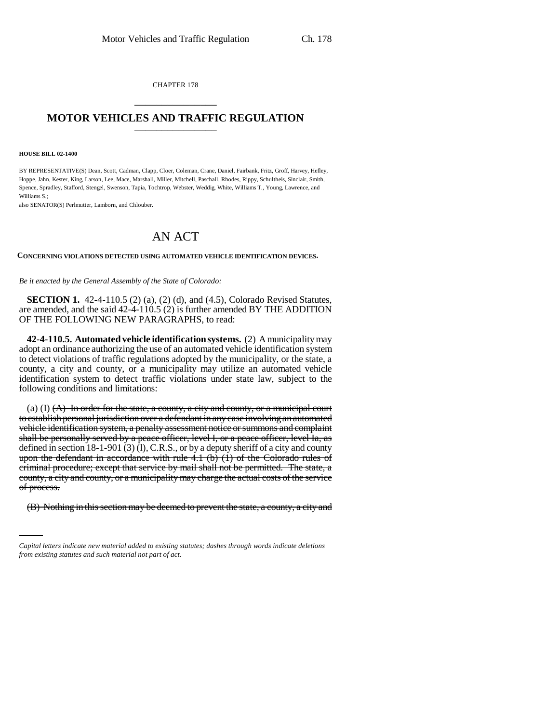CHAPTER 178 \_\_\_\_\_\_\_\_\_\_\_\_\_\_\_

## **MOTOR VEHICLES AND TRAFFIC REGULATION** \_\_\_\_\_\_\_\_\_\_\_\_\_\_\_

## **HOUSE BILL 02-1400**

BY REPRESENTATIVE(S) Dean, Scott, Cadman, Clapp, Cloer, Coleman, Crane, Daniel, Fairbank, Fritz, Groff, Harvey, Hefley, Hoppe, Jahn, Kester, King, Larson, Lee, Mace, Marshall, Miller, Mitchell, Paschall, Rhodes, Rippy, Schultheis, Sinclair, Smith, Spence, Spradley, Stafford, Stengel, Swenson, Tapia, Tochtrop, Webster, Weddig, White, Williams T., Young, Lawrence, and Williams S.;

also SENATOR(S) Perlmutter, Lamborn, and Chlouber.

## AN ACT

## **CONCERNING VIOLATIONS DETECTED USING AUTOMATED VEHICLE IDENTIFICATION DEVICES.**

*Be it enacted by the General Assembly of the State of Colorado:*

**SECTION 1.** 42-4-110.5 (2) (a), (2) (d), and (4.5), Colorado Revised Statutes, are amended, and the said 42-4-110.5 (2) is further amended BY THE ADDITION OF THE FOLLOWING NEW PARAGRAPHS, to read:

**42-4-110.5. Automated vehicle identification systems.** (2) A municipality may adopt an ordinance authorizing the use of an automated vehicle identification system to detect violations of traffic regulations adopted by the municipality, or the state, a county, a city and county, or a municipality may utilize an automated vehicle identification system to detect traffic violations under state law, subject to the following conditions and limitations:

of process. (a) (I)  $(A)$  In order for the state, a county, a city and county, or a municipal court to establish personal jurisdiction over a defendant in any case involving an automated vehicle identification system, a penalty assessment notice or summons and complaint shall be personally served by a peace officer, level I, or a peace officer, level Ia, as defined in section  $18-1-901$  (3) (1), C.R.S., or by a deputy sheriff of a city and county upon the defendant in accordance with rule  $4.1$  (b) (1) of the Colorado rules of criminal procedure; except that service by mail shall not be permitted. The state, a county, a city and county, or a municipality may charge the actual costs of the service

(B) Nothing in this section may be deemed to prevent the state, a county, a city and

*Capital letters indicate new material added to existing statutes; dashes through words indicate deletions from existing statutes and such material not part of act.*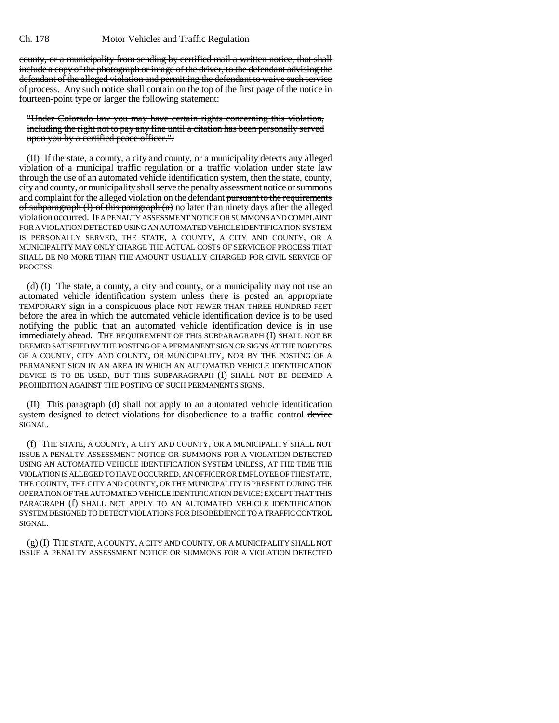county, or a municipality from sending by certified mail a written notice, that shall include a copy of the photograph or image of the driver, to the defendant advising the defendant of the alleged violation and permitting the defendant to waive such service of process. Any such notice shall contain on the top of the first page of the notice in fourteen-point type or larger the following statement:

"Under Colorado law you may have certain rights concerning this violation, including the right not to pay any fine until a citation has been personally served upon you by a certified peace officer.".

(II) If the state, a county, a city and county, or a municipality detects any alleged violation of a municipal traffic regulation or a traffic violation under state law through the use of an automated vehicle identification system, then the state, county, city and county, or municipality shall serve the penalty assessment notice or summons and complaint for the alleged violation on the defendant pursuant to the requirements of subparagraph  $(I)$  of this paragraph  $(a)$  no later than ninety days after the alleged violation occurred. IF A PENALTY ASSESSMENT NOTICE OR SUMMONS AND COMPLAINT FOR A VIOLATION DETECTED USING AN AUTOMATED VEHICLE IDENTIFICATION SYSTEM IS PERSONALLY SERVED, THE STATE, A COUNTY, A CITY AND COUNTY, OR A MUNICIPALITY MAY ONLY CHARGE THE ACTUAL COSTS OF SERVICE OF PROCESS THAT SHALL BE NO MORE THAN THE AMOUNT USUALLY CHARGED FOR CIVIL SERVICE OF PROCESS.

(d) (I) The state, a county, a city and county, or a municipality may not use an automated vehicle identification system unless there is posted an appropriate TEMPORARY sign in a conspicuous place NOT FEWER THAN THREE HUNDRED FEET before the area in which the automated vehicle identification device is to be used notifying the public that an automated vehicle identification device is in use immediately ahead. THE REQUIREMENT OF THIS SUBPARAGRAPH (I) SHALL NOT BE DEEMED SATISFIED BY THE POSTING OF A PERMANENT SIGN OR SIGNS AT THE BORDERS OF A COUNTY, CITY AND COUNTY, OR MUNICIPALITY, NOR BY THE POSTING OF A PERMANENT SIGN IN AN AREA IN WHICH AN AUTOMATED VEHICLE IDENTIFICATION DEVICE IS TO BE USED, BUT THIS SUBPARAGRAPH (I) SHALL NOT BE DEEMED A PROHIBITION AGAINST THE POSTING OF SUCH PERMANENTS SIGNS.

(II) This paragraph (d) shall not apply to an automated vehicle identification system designed to detect violations for disobedience to a traffic control device SIGNAL.

(f) THE STATE, A COUNTY, A CITY AND COUNTY, OR A MUNICIPALITY SHALL NOT ISSUE A PENALTY ASSESSMENT NOTICE OR SUMMONS FOR A VIOLATION DETECTED USING AN AUTOMATED VEHICLE IDENTIFICATION SYSTEM UNLESS, AT THE TIME THE VIOLATION IS ALLEGED TO HAVE OCCURRED, AN OFFICER OR EMPLOYEE OF THE STATE, THE COUNTY, THE CITY AND COUNTY, OR THE MUNICIPALITY IS PRESENT DURING THE OPERATION OF THE AUTOMATED VEHICLE IDENTIFICATION DEVICE; EXCEPT THAT THIS PARAGRAPH (f) SHALL NOT APPLY TO AN AUTOMATED VEHICLE IDENTIFICATION SYSTEM DESIGNED TO DETECT VIOLATIONS FOR DISOBEDIENCE TO A TRAFFIC CONTROL SIGNAL.

(g) (I) THE STATE, A COUNTY, A CITY AND COUNTY, OR A MUNICIPALITY SHALL NOT ISSUE A PENALTY ASSESSMENT NOTICE OR SUMMONS FOR A VIOLATION DETECTED